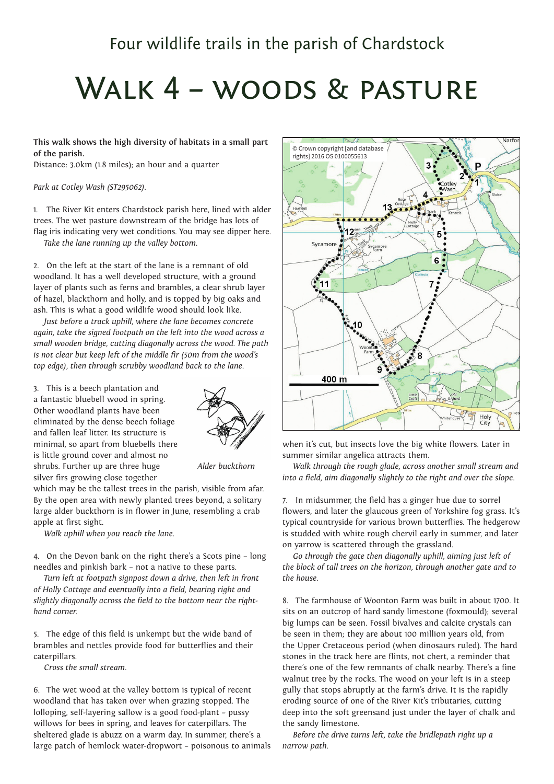## Walk 4 – woods & pasture

**This walk shows the high diversity of habitats in a small part of the parish.**

Distance: 3.0km (1.8 miles); an hour and a quarter

*Park at Cotley Wash (ST295062).*

1. The River Kit enters Chardstock parish here, lined with alder trees. The wet pasture downstream of the bridge has lots of flag iris indicating very wet conditions. You may see dipper here. *Take the lane running up the valley bottom.*

2. On the left at the start of the lane is a remnant of old woodland. It has a well developed structure, with a ground layer of plants such as ferns and brambles, a clear shrub layer of hazel, blackthorn and holly, and is topped by big oaks and ash. This is what a good wildlife wood should look like.

*Just before a track uphill, where the lane becomes concrete again, take the signed footpath on the left into the wood across a small wooden bridge, cutting diagonally across the wood. The path is not clear but keep left of the middle fir (50m from the wood's top edge), then through scrubby woodland back to the lane.*

3. This is a beech plantation and a fantastic bluebell wood in spring. Other woodland plants have been eliminated by the dense beech foliage and fallen leaf litter. Its structure is minimal, so apart from bluebells there is little ground cover and almost no shrubs. Further up are three huge silver firs growing close together



 *Alder buckthorn*

which may be the tallest trees in the parish, visible from afar. By the open area with newly planted trees beyond, a solitary large alder buckthorn is in flower in June, resembling a crab apple at first sight.

*Walk uphill when you reach the lane.*

4. On the Devon bank on the right there's a Scots pine – long needles and pinkish bark – not a native to these parts.

*Turn left at footpath signpost down a drive, then left in front of Holly Cottage and eventually into a field, bearing right and slightly diagonally across the field to the bottom near the righthand corner.*

5. The edge of this field is unkempt but the wide band of brambles and nettles provide food for butterflies and their caterpillars.

*Cross the small stream.*

6. The wet wood at the valley bottom is typical of recent woodland that has taken over when grazing stopped. The lolloping, self-layering sallow is a good food-plant – pussy willows for bees in spring, and leaves for caterpillars. The sheltered glade is abuzz on a warm day. In summer, there's a large patch of hemlock water-dropwort – poisonous to animals



when it's cut, but insects love the big white flowers. Later in summer similar angelica attracts them.

*Walk through the rough glade, across another small stream and into a field, aim diagonally slightly to the right and over the slope.*

7. In midsummer, the field has a ginger hue due to sorrel flowers, and later the glaucous green of Yorkshire fog grass. It's typical countryside for various brown butterflies. The hedgerow is studded with white rough chervil early in summer, and later on yarrow is scattered through the grassland.

*Go through the gate then diagonally uphill, aiming just left of the block of tall trees on the horizon, through another gate and to the house.*

8. The farmhouse of Woonton Farm was built in about 1700. It sits on an outcrop of hard sandy limestone (foxmould); several big lumps can be seen. Fossil bivalves and calcite crystals can be seen in them; they are about 100 million years old, from the Upper Cretaceous period (when dinosaurs ruled). The hard stones in the track here are flints, not chert, a reminder that there's one of the few remnants of chalk nearby. There's a fine walnut tree by the rocks. The wood on your left is in a steep gully that stops abruptly at the farm's drive. It is the rapidly eroding source of one of the River Kit's tributaries, cutting deep into the soft greensand just under the layer of chalk and the sandy limestone.

*Before the drive turns left, take the bridlepath right up a narrow path.*